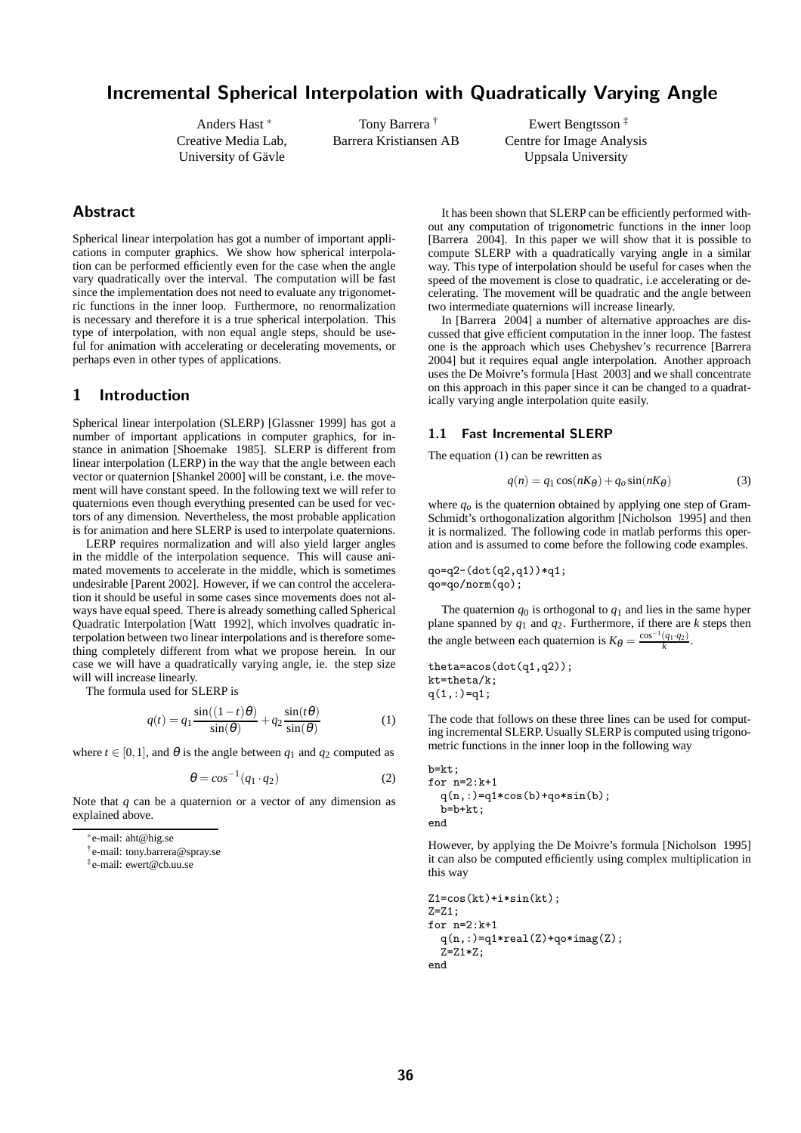# Incremental Spherical Interpolation with Quadratically Varying Angle

Anders Hast <sup>∗</sup> Creative Media Lab, University of Gävle

Tony Barrera † Barrera Kristiansen AB

Ewert Bengtsson ‡ Centre for Image Analysis Uppsala University

## Abstract

Spherical linear interpolation has got a number of important applications in computer graphics. We show how spherical interpolation can be performed efficiently even for the case when the angle vary quadratically over the interval. The computation will be fast since the implementation does not need to evaluate any trigonometric functions in the inner loop. Furthermore, no renormalization is necessary and therefore it is a true spherical interpolation. This type of interpolation, with non equal angle steps, should be useful for animation with accelerating or decelerating movements, or perhaps even in other types of applications.

## 1 Introduction

Spherical linear interpolation (SLERP) [Glassner 1999] has got a number of important applications in computer graphics, for instance in animation [Shoemake 1985]. SLERP is different from linear interpolation (LERP) in the way that the angle between each vector or quaternion [Shankel 2000] will be constant, i.e. the movement will have constant speed. In the following text we will refer to quaternions even though everything presented can be used for vectors of any dimension. Nevertheless, the most probable application is for animation and here SLERP is used to interpolate quaternions.

LERP requires normalization and will also yield larger angles in the middle of the interpolation sequence. This will cause animated movements to accelerate in the middle, which is sometimes undesirable [Parent 2002]. However, if we can control the acceleration it should be useful in some cases since movements does not always have equal speed. There is already something called Spherical Quadratic Interpolation [Watt 1992], which involves quadratic interpolation between two linear interpolations and is therefore something completely different from what we propose herein. In our case we will have a quadratically varying angle, ie. the step size will will increase linearly.

The formula used for SLERP is

$$
q(t) = q_1 \frac{\sin((1-t)\theta)}{\sin(\theta)} + q_2 \frac{\sin(t\theta)}{\sin(\theta)}
$$
 (1)

where  $t \in [0,1]$ , and  $\theta$  is the angle between  $q_1$  and  $q_2$  computed as

$$
\theta = \cos^{-1}(q_1 \cdot q_2) \tag{2}
$$

Note that *q* can be a quaternion or a vector of any dimension as explained above.

† e-mail: tony.barrera@spray.se

‡ e-mail: ewert@cb.uu.se

It has been shown that SLERP can be efficiently performed without any computation of trigonometric functions in the inner loop [Barrera 2004]. In this paper we will show that it is possible to compute SLERP with a quadratically varying angle in a similar way. This type of interpolation should be useful for cases when the speed of the movement is close to quadratic, i.e accelerating or decelerating. The movement will be quadratic and the angle between two intermediate quaternions will increase linearly.

In [Barrera 2004] a number of alternative approaches are discussed that give efficient computation in the inner loop. The fastest one is the approach which uses Chebyshev's recurrence [Barrera 2004] but it requires equal angle interpolation. Another approach uses the De Moivre's formula [Hast 2003] and we shall concentrate on this approach in this paper since it can be changed to a quadratically varying angle interpolation quite easily.

### 1.1 Fast Incremental SLERP

The equation (1) can be rewritten as

$$
q(n) = q_1 \cos(nK_{\theta}) + q_o \sin(nK_{\theta})
$$
\n(3)

where  $q<sub>o</sub>$  is the quaternion obtained by applying one step of Gram-Schmidt's orthogonalization algorithm [Nicholson 1995] and then it is normalized. The following code in matlab performs this operation and is assumed to come before the following code examples.

qo=q2-(dot(q2,q1))\*q1; qo=qo/norm(qo);

The quaternion  $q_0$  is orthogonal to  $q_1$  and lies in the same hyper plane spanned by *q*<sup>1</sup> and *q*2. Furthermore, if there are *k* steps then the angle between each quaternion is  $K_{\theta} = \frac{\cos^{-1}(q_1 \cdot q_2)}{k}$ .

theta=acos(dot(q1,q2)); kt=theta/k;  $q(1,:) = q1;$ 

The code that follows on these three lines can be used for computing incremental SLERP. Usually SLERP is computed using trigonometric functions in the inner loop in the following way

b=kt; for n=2:k+1  $q(n,:) = q1 * cos(b) + qo * sin(b);$  $b=b+kt;$ end

However, by applying the De Moivre's formula [Nicholson 1995] it can also be computed efficiently using complex multiplication in this way

```
Z1=cos(kt)+i*sin(kt);
Z = 7.1:
for n=2:k+1
  q(n,:) = q1*real(Z) + qo*imag(Z);Z = Z1 * Z;
end
```
<sup>∗</sup> e-mail: aht@hig.se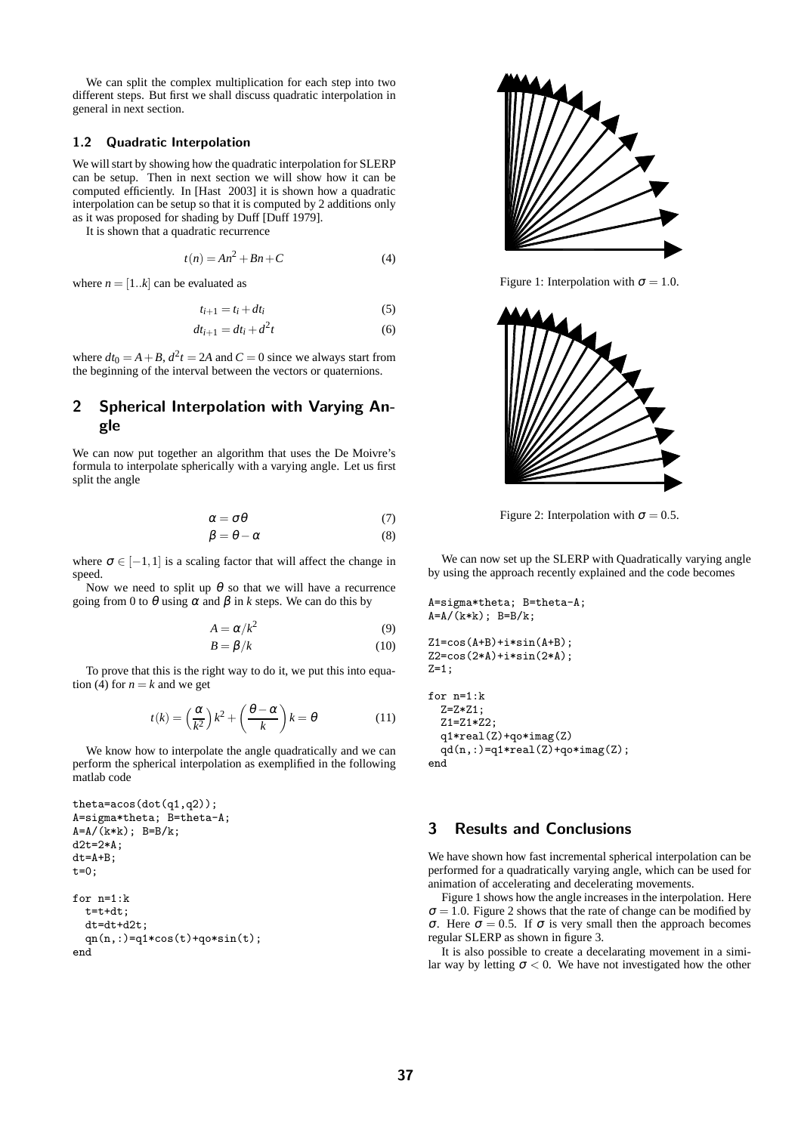We can split the complex multiplication for each step into two different steps. But first we shall discuss quadratic interpolation in general in next section.

#### 1.2 Quadratic Interpolation

We will start by showing how the quadratic interpolation for SLERP can be setup. Then in next section we will show how it can be computed efficiently. In [Hast 2003] it is shown how a quadratic interpolation can be setup so that it is computed by 2 additions only as it was proposed for shading by Duff [Duff 1979].

It is shown that a quadratic recurrence

$$
t(n) = An^2 + Bn + C \tag{4}
$$

where  $n = [1..k]$  can be evaluated as

$$
t_{i+1} = t_i + dt_i \tag{5}
$$

$$
dt_{i+1} = dt_i + d^2t \tag{6}
$$

where  $dt_0 = A + B$ ,  $d^2t = 2A$  and  $C = 0$  since we always start from the beginning of the interval between the vectors or quaternions.

## 2 Spherical Interpolation with Varying Angle

We can now put together an algorithm that uses the De Moivre's formula to interpolate spherically with a varying angle. Let us first split the angle

$$
\alpha = \sigma \theta \tag{7}
$$
  

$$
\beta = \theta - \alpha \tag{8}
$$

where  $\sigma \in [-1,1]$  is a scaling factor that will affect the change in speed.

Now we need to split up  $\theta$  so that we will have a recurrence going from 0 to  $\theta$  using  $\alpha$  and  $\beta$  in *k* steps. We can do this by

$$
A = \alpha/k^2 \tag{9}
$$

$$
B = \beta/k \tag{10}
$$

To prove that this is the right way to do it, we put this into equation (4) for  $n = k$  and we get

$$
t(k) = \left(\frac{\alpha}{k^2}\right)k^2 + \left(\frac{\theta - \alpha}{k}\right)k = \theta
$$
 (11)

We know how to interpolate the angle quadratically and we can perform the spherical interpolation as exemplified in the following matlab code

```
theta=acos(dot(q1,q2));
A=sigma*theta; B=theta-A;
A=A/(k*k); B=B/k;d2t = 2*A;dt=A+B;
t=0;for n=1:k
  t=t+dtdt=dt+d2t;
  qn(n,:) = q1 * cos(t) + q0 * sin(t);end
```


Figure 1: Interpolation with  $\sigma = 1.0$ .



Figure 2: Interpolation with  $\sigma = 0.5$ .

We can now set up the SLERP with Quadratically varying angle by using the approach recently explained and the code becomes

```
A=sigma*theta; B=theta-A;
A=A/(k*k); B=B/k;Z1 = \cos(A+B) + i * \sin(A+B);
Z2 = cos(2*A) + i * sin(2*A);Z=1;
for n=1:k
  Z=Z*Z1;
  Z1 = Z1 * Z2q1*real(Z)+qo*imag(Z)
  qd(n,:) = q1*real(Z)+qo*imag(Z);end
```
## 3 Results and Conclusions

We have shown how fast incremental spherical interpolation can be performed for a quadratically varying angle, which can be used for animation of accelerating and decelerating movements.

Figure 1 shows how the angle increases in the interpolation. Here  $\sigma = 1.0$ . Figure 2 shows that the rate of change can be modified by <sup>σ</sup>. Here <sup>σ</sup> = 0.5. If <sup>σ</sup> is very small then the approach becomes regular SLERP as shown in figure 3.

It is also possible to create a decelarating movement in a similar way by letting  $\sigma < 0$ . We have not investigated how the other